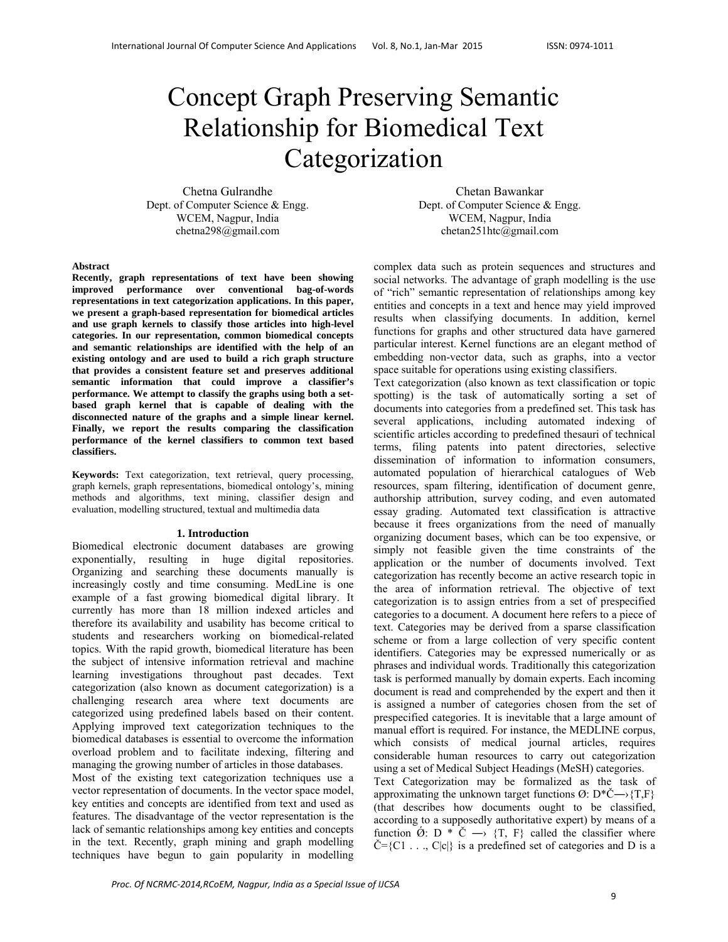# Concept Graph Preserving Semantic Relationship for Biomedical Text Categorization

Chetna Gulrandhe Dept. of Computer Science & Engg. WCEM, Nagpur, India chetna298@gmail.com

Chetan Bawankar Dept. of Computer Science & Engg. WCEM, Nagpur, India chetan251htc@gmail.com

## **Abstract**

**Recently, graph representations of text have been showing improved performance over conventional bag-of-words representations in text categorization applications. In this paper, we present a graph-based representation for biomedical articles and use graph kernels to classify those articles into high-level categories. In our representation, common biomedical concepts and semantic relationships are identified with the help of an existing ontology and are used to build a rich graph structure that provides a consistent feature set and preserves additional semantic information that could improve a classifier's performance. We attempt to classify the graphs using both a setbased graph kernel that is capable of dealing with the disconnected nature of the graphs and a simple linear kernel. Finally, we report the results comparing the classification performance of the kernel classifiers to common text based classifiers.** 

**Keywords:** Text categorization, text retrieval, query processing, graph kernels, graph representations, biomedical ontology's, mining methods and algorithms, text mining, classifier design and evaluation, modelling structured, textual and multimedia data

## **1. Introduction**

Biomedical electronic document databases are growing exponentially, resulting in huge digital repositories. Organizing and searching these documents manually is increasingly costly and time consuming. MedLine is one example of a fast growing biomedical digital library. It currently has more than 18 million indexed articles and therefore its availability and usability has become critical to students and researchers working on biomedical-related topics. With the rapid growth, biomedical literature has been the subject of intensive information retrieval and machine learning investigations throughout past decades. Text categorization (also known as document categorization) is a challenging research area where text documents are categorized using predefined labels based on their content. Applying improved text categorization techniques to the biomedical databases is essential to overcome the information overload problem and to facilitate indexing, filtering and managing the growing number of articles in those databases.

Most of the existing text categorization techniques use a vector representation of documents. In the vector space model, key entities and concepts are identified from text and used as features. The disadvantage of the vector representation is the lack of semantic relationships among key entities and concepts in the text. Recently, graph mining and graph modelling techniques have begun to gain popularity in modelling complex data such as protein sequences and structures and social networks. The advantage of graph modelling is the use of "rich" semantic representation of relationships among key entities and concepts in a text and hence may yield improved results when classifying documents. In addition, kernel functions for graphs and other structured data have garnered particular interest. Kernel functions are an elegant method of embedding non-vector data, such as graphs, into a vector space suitable for operations using existing classifiers.

Text categorization (also known as text classification or topic spotting) is the task of automatically sorting a set of documents into categories from a predefined set. This task has several applications, including automated indexing of scientific articles according to predefined thesauri of technical terms, filing patents into patent directories, selective dissemination of information to information consumers, automated population of hierarchical catalogues of Web resources, spam filtering, identification of document genre, authorship attribution, survey coding, and even automated essay grading. Automated text classification is attractive because it frees organizations from the need of manually organizing document bases, which can be too expensive, or simply not feasible given the time constraints of the application or the number of documents involved. Text categorization has recently become an active research topic in the area of information retrieval. The objective of text categorization is to assign entries from a set of prespecified categories to a document. A document here refers to a piece of text. Categories may be derived from a sparse classification scheme or from a large collection of very specific content identifiers. Categories may be expressed numerically or as phrases and individual words. Traditionally this categorization task is performed manually by domain experts. Each incoming document is read and comprehended by the expert and then it is assigned a number of categories chosen from the set of prespecified categories. It is inevitable that a large amount of manual effort is required. For instance, the MEDLINE corpus, which consists of medical journal articles, requires considerable human resources to carry out categorization using a set of Medical Subject Headings (MeSH) categories.

Text Categorization may be formalized as the task of approximating the unknown target functions  $\varnothing$ :  $D^*\check{C} \longrightarrow \{T,F\}$ (that describes how documents ought to be classified, according to a supposedly authoritative expert) by means of a function  $\hat{Q}$ :  $D \times \hat{C} \longrightarrow \{T, F\}$  called the classifier where  $\check{C} = \{C_1, \ldots, C|c|\}$  is a predefined set of categories and D is a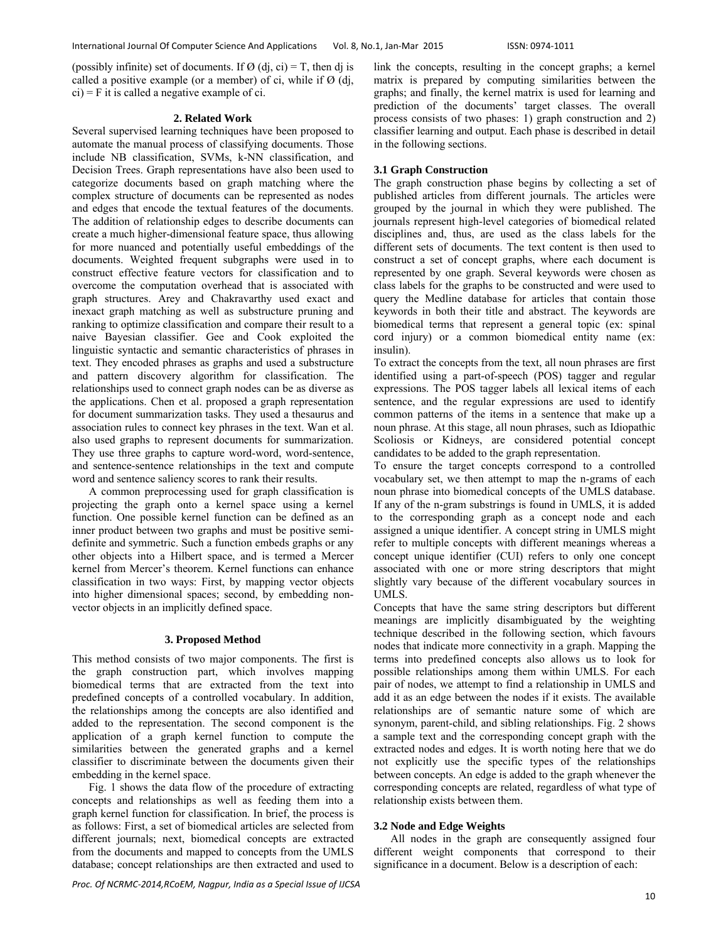(possibly infinite) set of documents. If  $\emptyset$  (dj, ci) = T, then dj is called a positive example (or a member) of ci, while if  $\varnothing$  (dj,  $ci$ ) = F it is called a negative example of ci.

#### **2. Related Work**

Several supervised learning techniques have been proposed to automate the manual process of classifying documents. Those include NB classification, SVMs, k-NN classification, and Decision Trees. Graph representations have also been used to categorize documents based on graph matching where the complex structure of documents can be represented as nodes and edges that encode the textual features of the documents. The addition of relationship edges to describe documents can create a much higher-dimensional feature space, thus allowing for more nuanced and potentially useful embeddings of the documents. Weighted frequent subgraphs were used in to construct effective feature vectors for classification and to overcome the computation overhead that is associated with graph structures. Arey and Chakravarthy used exact and inexact graph matching as well as substructure pruning and ranking to optimize classification and compare their result to a naive Bayesian classifier. Gee and Cook exploited the linguistic syntactic and semantic characteristics of phrases in text. They encoded phrases as graphs and used a substructure and pattern discovery algorithm for classification. The relationships used to connect graph nodes can be as diverse as the applications. Chen et al. proposed a graph representation for document summarization tasks. They used a thesaurus and association rules to connect key phrases in the text. Wan et al. also used graphs to represent documents for summarization. They use three graphs to capture word-word, word-sentence, and sentence-sentence relationships in the text and compute word and sentence saliency scores to rank their results.

 A common preprocessing used for graph classification is projecting the graph onto a kernel space using a kernel function. One possible kernel function can be defined as an inner product between two graphs and must be positive semidefinite and symmetric. Such a function embeds graphs or any other objects into a Hilbert space, and is termed a Mercer kernel from Mercer's theorem. Kernel functions can enhance classification in two ways: First, by mapping vector objects into higher dimensional spaces; second, by embedding nonvector objects in an implicitly defined space.

## **3. Proposed Method**

This method consists of two major components. The first is the graph construction part, which involves mapping biomedical terms that are extracted from the text into predefined concepts of a controlled vocabulary. In addition, the relationships among the concepts are also identified and added to the representation. The second component is the application of a graph kernel function to compute the similarities between the generated graphs and a kernel classifier to discriminate between the documents given their embedding in the kernel space.

 Fig. 1 shows the data flow of the procedure of extracting concepts and relationships as well as feeding them into a graph kernel function for classification. In brief, the process is as follows: First, a set of biomedical articles are selected from different journals; next, biomedical concepts are extracted from the documents and mapped to concepts from the UMLS database; concept relationships are then extracted and used to

*Proc. Of NCRMC‐2014,RCoEM, Nagpur, India as a Special Issue of IJCSA*

link the concepts, resulting in the concept graphs; a kernel matrix is prepared by computing similarities between the graphs; and finally, the kernel matrix is used for learning and prediction of the documents' target classes. The overall process consists of two phases: 1) graph construction and 2) classifier learning and output. Each phase is described in detail in the following sections.

## **3.1 Graph Construction**

The graph construction phase begins by collecting a set of published articles from different journals. The articles were grouped by the journal in which they were published. The journals represent high-level categories of biomedical related disciplines and, thus, are used as the class labels for the different sets of documents. The text content is then used to construct a set of concept graphs, where each document is represented by one graph. Several keywords were chosen as class labels for the graphs to be constructed and were used to query the Medline database for articles that contain those keywords in both their title and abstract. The keywords are biomedical terms that represent a general topic (ex: spinal cord injury) or a common biomedical entity name (ex: insulin).

To extract the concepts from the text, all noun phrases are first identified using a part-of-speech (POS) tagger and regular expressions. The POS tagger labels all lexical items of each sentence, and the regular expressions are used to identify common patterns of the items in a sentence that make up a noun phrase. At this stage, all noun phrases, such as Idiopathic Scoliosis or Kidneys, are considered potential concept candidates to be added to the graph representation.

To ensure the target concepts correspond to a controlled vocabulary set, we then attempt to map the n-grams of each noun phrase into biomedical concepts of the UMLS database. If any of the n-gram substrings is found in UMLS, it is added to the corresponding graph as a concept node and each assigned a unique identifier. A concept string in UMLS might refer to multiple concepts with different meanings whereas a concept unique identifier (CUI) refers to only one concept associated with one or more string descriptors that might slightly vary because of the different vocabulary sources in UMLS.

Concepts that have the same string descriptors but different meanings are implicitly disambiguated by the weighting technique described in the following section, which favours nodes that indicate more connectivity in a graph. Mapping the terms into predefined concepts also allows us to look for possible relationships among them within UMLS. For each pair of nodes, we attempt to find a relationship in UMLS and add it as an edge between the nodes if it exists. The available relationships are of semantic nature some of which are synonym, parent-child, and sibling relationships. Fig. 2 shows a sample text and the corresponding concept graph with the extracted nodes and edges. It is worth noting here that we do not explicitly use the specific types of the relationships between concepts. An edge is added to the graph whenever the corresponding concepts are related, regardless of what type of relationship exists between them.

# **3.2 Node and Edge Weights**

 All nodes in the graph are consequently assigned four different weight components that correspond to their significance in a document. Below is a description of each: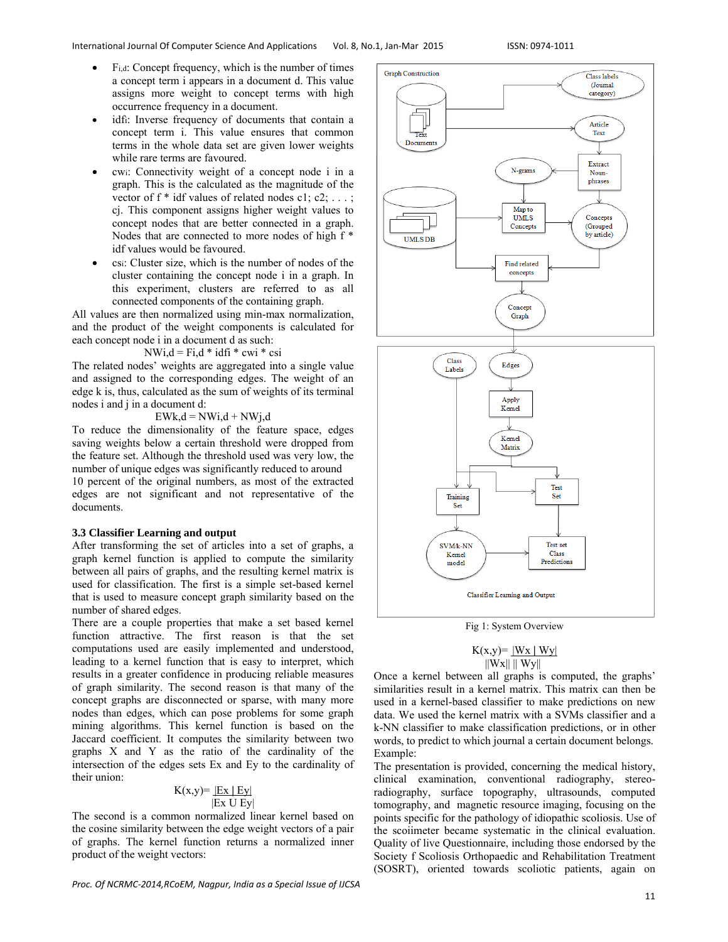International Journal Of Computer Science And Applications Vol. 8, No.1, Jan‐Mar 2015 ISSN: 0974‐1011

- $\bullet$  F<sub>i,d:</sub> Concept frequency, which is the number of times a concept term i appears in a document d. This value assigns more weight to concept terms with high occurrence frequency in a document.
- idfi: Inverse frequency of documents that contain a concept term i. This value ensures that common terms in the whole data set are given lower weights while rare terms are favoured.
- cwi: Connectivity weight of a concept node i in a graph. This is the calculated as the magnitude of the vector of  $f * idf$  values of related nodes c1; c2; ...; cj. This component assigns higher weight values to concept nodes that are better connected in a graph. Nodes that are connected to more nodes of high f \* idf values would be favoured.
- csi: Cluster size, which is the number of nodes of the cluster containing the concept node i in a graph. In this experiment, clusters are referred to as all connected components of the containing graph.

All values are then normalized using min-max normalization, and the product of the weight components is calculated for each concept node i in a document d as such:

# $NWi,d = Fi,d * idfi * cwi * csi$

The related nodes' weights are aggregated into a single value and assigned to the corresponding edges. The weight of an edge k is, thus, calculated as the sum of weights of its terminal nodes i and j in a document d:

# $EWK,d = NWi,d + NWj,d$

To reduce the dimensionality of the feature space, edges saving weights below a certain threshold were dropped from the feature set. Although the threshold used was very low, the number of unique edges was significantly reduced to around 10 percent of the original numbers, as most of the extracted edges are not significant and not representative of the documents.

## **3.3 Classifier Learning and output**

After transforming the set of articles into a set of graphs, a graph kernel function is applied to compute the similarity between all pairs of graphs, and the resulting kernel matrix is used for classification. The first is a simple set-based kernel that is used to measure concept graph similarity based on the number of shared edges.

There are a couple properties that make a set based kernel function attractive. The first reason is that the set computations used are easily implemented and understood, leading to a kernel function that is easy to interpret, which results in a greater confidence in producing reliable measures of graph similarity. The second reason is that many of the concept graphs are disconnected or sparse, with many more nodes than edges, which can pose problems for some graph mining algorithms. This kernel function is based on the Jaccard coefficient. It computes the similarity between two graphs X and Y as the ratio of the cardinality of the intersection of the edges sets Ex and Ey to the cardinality of their union:

$$
K(x,y) = \frac{|Ex|}{|Ex|} \frac{Ey}{|Ey|}
$$

The second is a common normalized linear kernel based on the cosine similarity between the edge weight vectors of a pair of graphs. The kernel function returns a normalized inner product of the weight vectors:

*Proc. Of NCRMC‐2014,RCoEM, Nagpur, India as a Special Issue of IJCSA*



Fig 1: System Overview

$$
K(x,y)=\underline{|Wx\mid Wy|}{\|Wx\|\parallel Wy\|}
$$

Once a kernel between all graphs is computed, the graphs' similarities result in a kernel matrix. This matrix can then be used in a kernel-based classifier to make predictions on new data. We used the kernel matrix with a SVMs classifier and a k-NN classifier to make classification predictions, or in other words, to predict to which journal a certain document belongs. Example:

The presentation is provided, concerning the medical history, clinical examination, conventional radiography, stereoradiography, surface topography, ultrasounds, computed tomography, and magnetic resource imaging, focusing on the points specific for the pathology of idiopathic scoliosis. Use of the scoiimeter became systematic in the clinical evaluation. Quality of live Questionnaire, including those endorsed by the Society f Scoliosis Orthopaedic and Rehabilitation Treatment (SOSRT), oriented towards scoliotic patients, again on